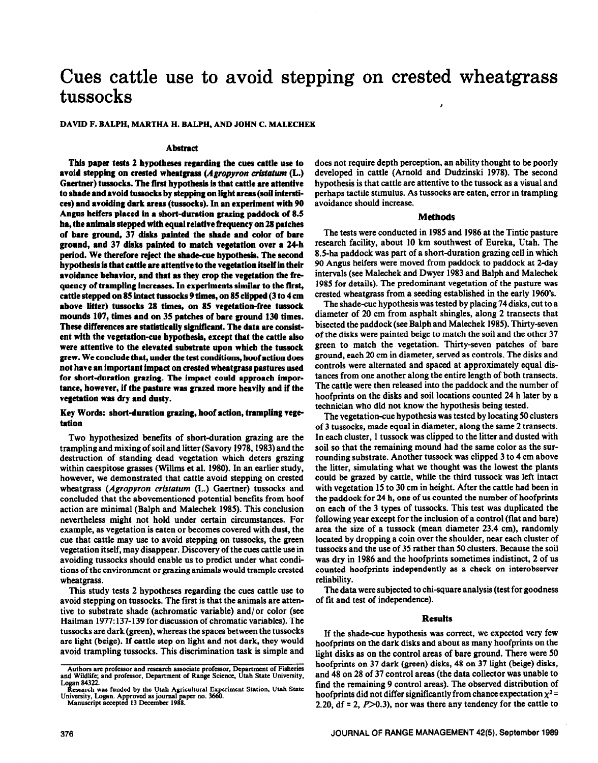# **Cues cattle use to avoid stepping on crested wheatgrass**   $t$ ussocks

#### **DAVID F. BALPH, MARTHA H. BALPH, AND JOHN C. MALECHEK**

#### **Abstract**

**This paper tests 2 hypotheses regarding the cues cattle use to**  avoid stepping on crested wheatgrass (Agropyron cristatum (L.) **Gaertner) tussocks. The first hypothesfs is that cattle are attentive to shade and avoid tussocks by stepping on light areas (soil interstices) and avoiding dark areas (tussocks). In an experiment with 90 Angus heifers placed in** a **short-duration graxing paddock of 8.5**  ha, the animals stepped with equal relative frequency on 28 patches **of bare ground, 37 disks painted the shade and color of bare ground, and 37 disks painted to match vegetation over a 24-h period. We therefore reject the shade-cue hypothesis. The second hypothesis is that cattle are attentive to the vegetation itselfin their avoidance behavior, and that as they crop the vegetation the frequency of trampling increases. In experiments similar to the first, cattle stepped on 85 intact tussocks 9 times, on 85 clipped (3 to 4 cm above litter) tussocks 28 times, on 85 vegetation-free tussock mounds 107, times** and on 35 patches of bare ground 130 times. **These differences are statistically significant. The data are consistent with the vegetation-cue hypothesis, except that the cattle also were attentive to the elevated substrate upon which the tussock grew. We conclude that, under the test conditions, hoof** action does not have an important impaet on crested wheatgrass pastures used for short-duration **graxing. The impact could approach importance, however, if the pasture was grazed more heavily and if the vegetation was dry and dusty.** 

## **Key Words: short-duration graxing, hoof action, trampling vegetation**

Two hypothesized benefits of short-duration grazing are the trampling and mixing of soil and litter (Savory 1978,1983) and the destruction of standing dead vegetation which deters grazing within caespitose grasses (Willms et al. 1980). In an earlier study, however, we demonstrated that cattle avoid stepping on crested wheatgrass (*Agropyron cristatum*  $(L)$ ) Gaertner) tussocks and concluded that the abovementioned potential benefits from hoof action are minimal (Balph and Malechek 1985). This conclusion nevertheless might not hold under certain circumstances. For example, as vegetation is eaten or becomes covered with dust, the cue that cattle may use to avoid stepping on tussocks, the green vegetation itself, may disappear. Discovery of the cues cattle use in avoiding tussocks should enable us to predict under what conditions of the environment or grazing animals would trample crested wheatgrass.

This study tests 2 hypotheses regarding the cues cattle use to avoid stepping on tussocks. The first is that the animals are attentive to substrate shade (achromatic variable) and/or color (see Hailman 1977: 137-l 39 for discussion of chromatic variables). The tussocks are dark (green), whereas the spaces between the tussocks are light (beige). If cattle step on light and not dark, they would avoid trampling tussocks. This discrimination task is simple and does not require depth perception, an ability thought to be poorly developed in cattle (Arnold and Dudzinski 1978). The second hypothesis is that cattle are attentive to the tussock as a visual and perhaps tactile stimulus. As tussocks are eaten, error in trampling avoidance should increase.

## **Methods**

**The** tests were conducted in 1985 and 1986 at the Tintic pasture research facility, about 10 km southwest of Eureka, Utah. The 8.5ha paddock was part of a short-duration grazing cell in which 90 Angus heifers were moved from paddock to paddock at 2day intervals (see Malechek and Dwyer 1983 and Balph and Malechek 1985 for details). The predominant vegetation of the pasture was crested wheatgrass from a seeding established in the early 1960's.

The shade-cue hypothesis was tested by placing 74 disks, cut to a diameter of 20 cm from asphalt shingles, along 2 transects that bisected the paddock (see Balph and Malechek 1985). Thirty-seven of the disks were painted beige to match the soil and the other 37 green to match the vegetation. Thirty-seven patches of bare ground, each 20 cm in diameter, served as controls. The disks and controls were alternated and spaced at approximately equal distances from one another along the entire length of both transects. The cattle were then released into the paddock and the number of hoofprints on the disks and soil locations counted 24 h later by a technician who did not know the hypothesis being tested.

The vegetation-cue hypothesis was tested by locating 50 clusters of 3 tussocks, made equal in diameter, along the same 2 transects. In each cluster, 1 tussock was clipped to the litter and dusted with soil so that the remaining mound had the same color as the surrounding substrate. Another tussock was clipped 3 to 4 cm above the litter, simulating what we thought was the lowest the plants could be grazed by cattle, while the third tussock was left intact with vegetation 15 to 30 cm in height. After the cattle had been in the paddock for 24 h, one of us counted the number of hoofprints on each of the 3 types of tussocks. This test was duplicated the following year except for the inclusion of a control (flat and bare) area the size of a tussock (mean diameter 23.4 cm), randomly located by dropping a coin over the shoulder, near each cluster of tussocks and the use of 35 rather than 50 clusters. Because the soil was dry in 1986 and the hoofprints sometimes indistinct, 2 of us counted hoofprints independently as a check on interobserver reliability.

The data were subjected to chi-square analysis (test for goodness of fit and test of independence).

#### **Results**

If the shade-cue hypothesis was correct, we expected very few hoofprints on the dark disks and about as many hoofprints on the light disks as on the control areas of bare ground. There were 50 hoofprints on 37 dark (green) disks, 48 on 37 light (beige) disks, and 48 on 28 of 37 control areas (the data collector was unable to find the remaining 9 control areas). The observed distribution of hoofprints did not differ significantly from chance expectation  $\chi^2$  = 2.20,  $df = 2$ ,  $P > 0.3$ , nor was there any tendency for the cattle to

**Authors are professor and research associate professor, Department of Fisheries and Wildlife; and professor, Department of Range Scicncc, Utah State University, Logan 84322.** 

**Research was funded by the Utah Agricultural Experiment Station, Utah State University, Logan. Approved as journal paper no. 3660.** 

**Manuscript accepted 13 December 1988.**